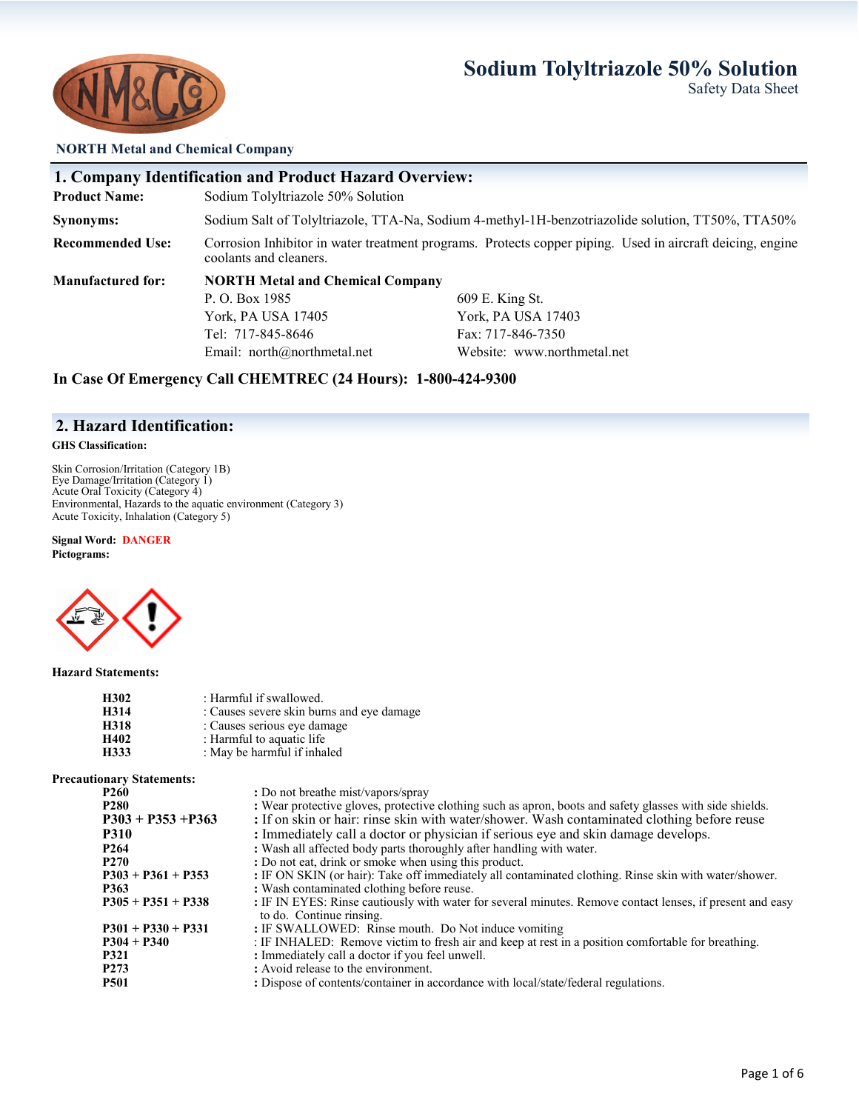# **Sodium Tolyltriazole 50% Solution** Safety Data Sheet



#### **NORTH Metal and Chemical Company**

|                          | <b>1. Company Identification and Product Hazard Overview:</b>                                                                       |                                                                                                  |  |  |  |
|--------------------------|-------------------------------------------------------------------------------------------------------------------------------------|--------------------------------------------------------------------------------------------------|--|--|--|
| <b>Product Name:</b>     | Sodium Tolyltriazole 50% Solution                                                                                                   |                                                                                                  |  |  |  |
| Synonyms:                |                                                                                                                                     | Sodium Salt of Tolyltriazole, TTA-Na, Sodium 4-methyl-1H-benzotriazolide solution, TT50%, TTA50% |  |  |  |
| <b>Recommended Use:</b>  | Corrosion Inhibitor in water treatment programs. Protects copper piping. Used in aircraft deicing, engine<br>coolants and cleaners. |                                                                                                  |  |  |  |
| <b>Manufactured for:</b> | <b>NORTH Metal and Chemical Company</b>                                                                                             |                                                                                                  |  |  |  |
|                          | P. O. Box 1985<br>609 E. King St.                                                                                                   |                                                                                                  |  |  |  |
|                          | York, PA USA 17405                                                                                                                  | York, PA USA 17403                                                                               |  |  |  |
|                          | Tel: 717-845-8646                                                                                                                   | Fax: 717-846-7350                                                                                |  |  |  |
|                          | Email: north@northmetal.net<br>Website: www.northmetal.net                                                                          |                                                                                                  |  |  |  |

**In Case Of Emergency Call CHEMTREC (24 Hours): 1-800-424-9300**

## **2. Hazard Identification:**

#### **GHS Classification:**

Skin Corrosion/Irritation (Category 1B) Eye Damage/Irritation (Category 1) Acute Oral Toxicity (Category 4) Environmental, Hazards to the aquatic environment (Category 3) Acute Toxicity, Inhalation (Category 5)

**Signal Word: DANGER Pictograms:** 



#### **Hazard Statements:**

| H302 | : Harmful if swallowed.                   |
|------|-------------------------------------------|
| H314 | : Causes severe skin burns and eye damage |
| H318 | : Causes serious eye damage               |
| H402 | : Harmful to aquatic life                 |
| H333 | : May be harmful if inhaled               |

#### **Precautionary Statements:**

| P <sub>260</sub>     | : Do not breathe mist/vapors/spray                                                                                                    |
|----------------------|---------------------------------------------------------------------------------------------------------------------------------------|
| <b>P280</b>          | : Wear protective gloves, protective clothing such as apron, boots and safety glasses with side shields.                              |
| $P303 + P353 + P363$ | : If on skin or hair: rinse skin with water/shower. Wash contaminated clothing before reuse                                           |
| <b>P310</b>          | : Immediately call a doctor or physician if serious eye and skin damage develops.                                                     |
| P <sub>264</sub>     | : Wash all affected body parts thoroughly after handling with water.                                                                  |
| <b>P270</b>          | : Do not eat, drink or smoke when using this product.                                                                                 |
| $P303 + P361 + P353$ | : IF ON SKIN (or hair): Take off immediately all contaminated clothing. Rinse skin with water/shower.                                 |
| <b>P363</b>          | : Wash contaminated clothing before reuse.                                                                                            |
| $P305 + P351 + P338$ | : IF IN EYES: Rinse cautiously with water for several minutes. Remove contact lenses, if present and easy<br>to do. Continue rinsing. |
| $P301 + P330 + P331$ | : IF SWALLOWED: Rinse mouth. Do Not induce vomiting                                                                                   |
| $P304 + P340$        | : IF INHALED: Remove victim to fresh air and keep at rest in a position comfortable for breathing.                                    |
| <b>P321</b>          | : Immediately call a doctor if you feel unwell.                                                                                       |
| P <sub>273</sub>     | : Avoid release to the environment.                                                                                                   |
| <b>P501</b>          | : Dispose of contents/container in accordance with local/state/federal regulations.                                                   |
|                      |                                                                                                                                       |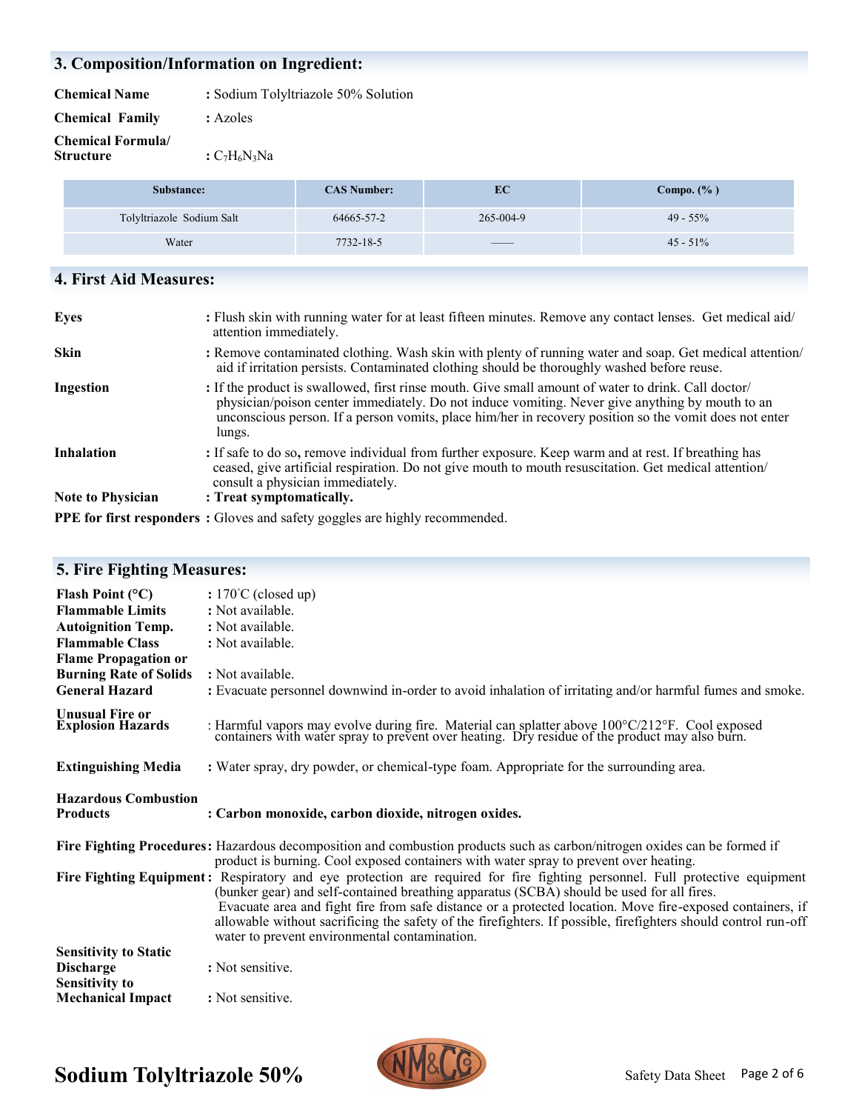# **3. Composition/Information on Ingredient:**

| <b>Chemical Name</b> | : Sodium Tolyltriazole 50% Solution |
|----------------------|-------------------------------------|
|                      |                                     |

| <b>Chemical Family</b> | : Azoles |
|------------------------|----------|
|                        |          |

**Chemical Formula/**

**:**  $C_7H_6N_3Na$ 

| Substance:                | <b>CAS Number:</b> | EС                       | Compo. $(\% )$ |
|---------------------------|--------------------|--------------------------|----------------|
| Tolyltriazole Sodium Salt | 64665-57-2         | 265-004-9                | $49 - 55\%$    |
| Water                     | 7732-18-5          | $\qquad \qquad - \qquad$ | $45 - 51\%$    |

# **4. First Aid Measures:**

| <b>Eyes</b>                                   | : Flush skin with running water for at least fifteen minutes. Remove any contact lenses. Get medical aid/<br>attention immediately.                                                                                                                                                                                        |
|-----------------------------------------------|----------------------------------------------------------------------------------------------------------------------------------------------------------------------------------------------------------------------------------------------------------------------------------------------------------------------------|
| <b>Skin</b>                                   | : Remove contaminated clothing. Wash skin with plenty of running water and soap. Get medical attention/<br>aid if irritation persists. Contaminated clothing should be thoroughly washed before reuse.                                                                                                                     |
| Ingestion                                     | : If the product is swallowed, first rinse mouth. Give small amount of water to drink. Call doctor/<br>physician/poison center immediately. Do not induce vomiting. Never give anything by mouth to an<br>unconscious person. If a person vomits, place him/her in recovery position so the vomit does not enter<br>lungs. |
| <b>Inhalation</b><br><b>Note to Physician</b> | : If safe to do so, remove individual from further exposure. Keep warm and at rest. If breathing has<br>ceased, give artificial respiration. Do not give mouth to mouth resuscitation. Get medical attention/<br>consult a physician immediately.<br>: Treat symptomatically.                                              |
|                                               |                                                                                                                                                                                                                                                                                                                            |
|                                               | <b>PPE for first responders:</b> Gloves and safety goggles are highly recommended.                                                                                                                                                                                                                                         |

| <b>5. Fire Fighting Measures:</b>                                                                                                                                                                    |                                                                                                                                                                                                                                                                                                                                                                                                                                                                                                          |
|------------------------------------------------------------------------------------------------------------------------------------------------------------------------------------------------------|----------------------------------------------------------------------------------------------------------------------------------------------------------------------------------------------------------------------------------------------------------------------------------------------------------------------------------------------------------------------------------------------------------------------------------------------------------------------------------------------------------|
| Flash Point $(^{\circ}C)$<br><b>Flammable Limits</b><br><b>Autoignition Temp.</b><br><b>Flammable Class</b><br><b>Flame Propagation or</b><br><b>Burning Rate of Solids</b><br><b>General Hazard</b> | : $170^{\circ}$ C (closed up)<br>: Not available.<br>: Not available.<br>: Not available.<br>: Not available.<br>: Evacuate personnel downwind in-order to avoid inhalation of irritating and/or harmful fumes and smoke.                                                                                                                                                                                                                                                                                |
| <b>Unusual Fire or</b><br><b>Explosion Hazards</b>                                                                                                                                                   | : Harmful vapors may evolve during fire. Material can splatter above 100°C/212°F. Cool exposed containers with water spray to prevent over heating. Dry residue of the product may also burn.                                                                                                                                                                                                                                                                                                            |
| <b>Extinguishing Media</b>                                                                                                                                                                           | : Water spray, dry powder, or chemical-type foam. Appropriate for the surrounding area.                                                                                                                                                                                                                                                                                                                                                                                                                  |
| <b>Hazardous Combustion</b><br><b>Products</b>                                                                                                                                                       | : Carbon monoxide, carbon dioxide, nitrogen oxides.                                                                                                                                                                                                                                                                                                                                                                                                                                                      |
|                                                                                                                                                                                                      | Fire Fighting Procedures: Hazardous decomposition and combustion products such as carbon/nitrogen oxides can be formed if<br>product is burning. Cool exposed containers with water spray to prevent over heating.                                                                                                                                                                                                                                                                                       |
|                                                                                                                                                                                                      | Fire Fighting Equipment: Respiratory and eye protection are required for fire fighting personnel. Full protective equipment<br>(bunker gear) and self-contained breathing apparatus (SCBA) should be used for all fires.<br>Evacuate area and fight fire from safe distance or a protected location. Move fire-exposed containers, if<br>allowable without sacrificing the safety of the firefighters. If possible, firefighters should control run-off<br>water to prevent environmental contamination. |
| <b>Sensitivity to Static</b><br><b>Discharge</b>                                                                                                                                                     | : Not sensitive.                                                                                                                                                                                                                                                                                                                                                                                                                                                                                         |
| <b>Sensitivity to</b>                                                                                                                                                                                |                                                                                                                                                                                                                                                                                                                                                                                                                                                                                                          |

# **Sodium Tolyltriazole 50%**

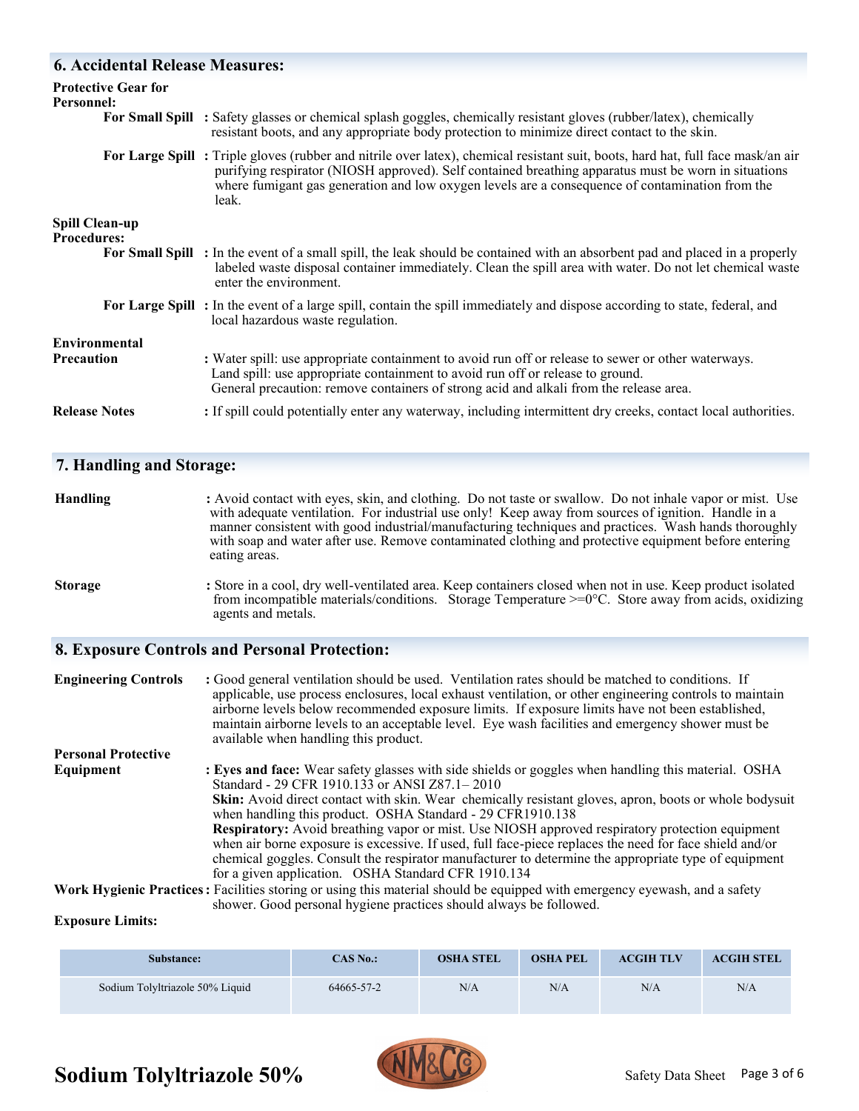## **6. Accidental Release Measures:**

| Personnel:                                  | <b>Protective Gear for</b> |                                                                                                                                                                                                                                                                                                                                                     |
|---------------------------------------------|----------------------------|-----------------------------------------------------------------------------------------------------------------------------------------------------------------------------------------------------------------------------------------------------------------------------------------------------------------------------------------------------|
|                                             |                            | For Small Spill : Safety glasses or chemical splash goggles, chemically resistant gloves (rubber/latex), chemically<br>resistant boots, and any appropriate body protection to minimize direct contact to the skin.                                                                                                                                 |
|                                             |                            | For Large Spill: Triple gloves (rubber and nitrile over latex), chemical resistant suit, boots, hard hat, full face mask/an air<br>purifying respirator (NIOSH approved). Self contained breathing apparatus must be worn in situations<br>where fumigant gas generation and low oxygen levels are a consequence of contamination from the<br>leak. |
| <b>Spill Clean-up</b><br><b>Procedures:</b> |                            |                                                                                                                                                                                                                                                                                                                                                     |
|                                             |                            | For Small Spill : In the event of a small spill, the leak should be contained with an absorbent pad and placed in a properly<br>labeled waste disposal container immediately. Clean the spill area with water. Do not let chemical waste<br>enter the environment.                                                                                  |
|                                             |                            | For Large Spill: In the event of a large spill, contain the spill immediately and dispose according to state, federal, and<br>local hazardous waste regulation.                                                                                                                                                                                     |
| Environmental                               |                            |                                                                                                                                                                                                                                                                                                                                                     |
| <b>Precaution</b>                           |                            | : Water spill: use appropriate containment to avoid run off or release to sewer or other waterways.<br>Land spill: use appropriate containment to avoid run off or release to ground.<br>General precaution: remove containers of strong acid and alkali from the release area.                                                                     |
| <b>Release Notes</b>                        |                            | : If spill could potentially enter any waterway, including intermittent dry creeks, contact local authorities.                                                                                                                                                                                                                                      |

### **7. Handling and Storage:**

| <b>Handling</b> | : Avoid contact with eyes, skin, and clothing. Do not taste or swallow. Do not inhale vapor or mist. Use<br>with adequate ventilation. For industrial use only! Keep away from sources of ignition. Handle in a<br>manner consistent with good industrial/manufacturing techniques and practices. Wash hands thoroughly<br>with soap and water after use. Remove contaminated clothing and protective equipment before entering<br>eating areas. |
|-----------------|--------------------------------------------------------------------------------------------------------------------------------------------------------------------------------------------------------------------------------------------------------------------------------------------------------------------------------------------------------------------------------------------------------------------------------------------------|
|-----------------|--------------------------------------------------------------------------------------------------------------------------------------------------------------------------------------------------------------------------------------------------------------------------------------------------------------------------------------------------------------------------------------------------------------------------------------------------|

**Storage :** Store in a cool, dry well-ventilated area. Keep containers closed when not in use. Keep product isolated from incompatible materials/conditions. Storage Temperature >=0°C. Store away from acids, oxidizing agents and metals.

## **8. Exposure Controls and Personal Protection:**

| <b>Engineering Controls</b> | : Good general ventilation should be used. Ventilation rates should be matched to conditions. If                                                                     |
|-----------------------------|----------------------------------------------------------------------------------------------------------------------------------------------------------------------|
|                             | applicable, use process enclosures, local exhaust ventilation, or other engineering controls to maintain                                                             |
|                             | airborne levels below recommended exposure limits. If exposure limits have not been established,                                                                     |
|                             | maintain airborne levels to an acceptable level. Eye wash facilities and emergency shower must be                                                                    |
|                             | available when handling this product.                                                                                                                                |
| <b>Personal Protective</b>  |                                                                                                                                                                      |
| Equipment                   | : Eyes and face: Wear safety glasses with side shields or goggles when handling this material. OSHA                                                                  |
|                             | Standard - 29 CFR 1910.133 or ANSI Z87.1 - 2010                                                                                                                      |
|                             | Skin: Avoid direct contact with skin. Wear chemically resistant gloves, apron, boots or whole bodysuit<br>when handling this product. OSHA Standard - 29 CFR1910.138 |
|                             | <b>Respiratory:</b> Avoid breathing vapor or mist. Use NIOSH approved respiratory protection equipment                                                               |
|                             | when air borne exposure is excessive. If used, full face-piece replaces the need for face shield and/or                                                              |
|                             | chemical goggles. Consult the respirator manufacturer to determine the appropriate type of equipment                                                                 |
|                             | for a given application. OSHA Standard CFR 1910.134                                                                                                                  |
|                             | <b>Work Hygienic Practices:</b> Facilities storing or using this material should be equipped with emergency eyewash, and a safety                                    |

**Work Hygienic Practices:** Facilities storing or using this material should be equipped with emergency eyewash, and a safety shower. Good personal hygiene practices should always be followed.

### **Exposure Limits:**

| Substance:                      | CAS No.:   | <b>OSHA STEL</b> | <b>OSHA PEL</b> | <b>ACGIH TLV</b> | <b>ACGIH STEL</b> |
|---------------------------------|------------|------------------|-----------------|------------------|-------------------|
| Sodium Tolvltriazole 50% Liquid | 64665-57-2 | N/A              | N/A             | N/A              | N/A               |



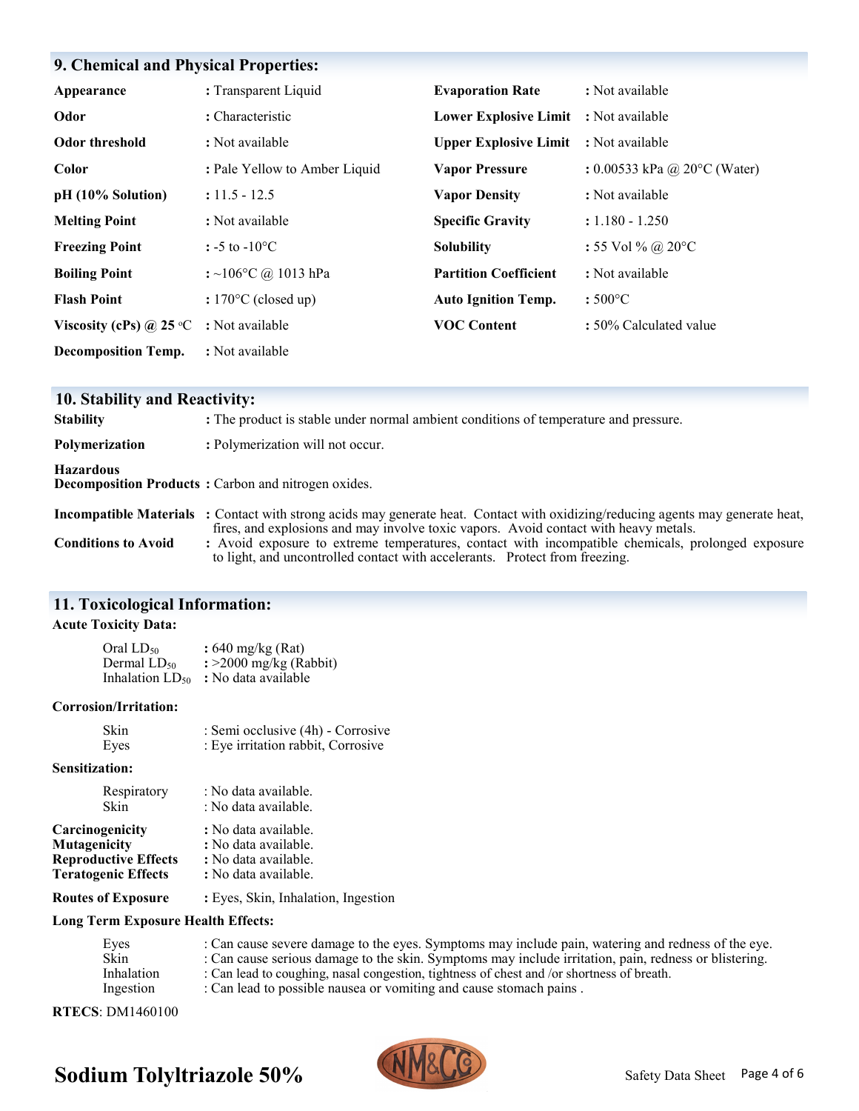# **9. Chemical and Physical Properties:**

| Appearance                       | : Transparent Liquid          | <b>Evaporation Rate</b>                      | : Not available                |
|----------------------------------|-------------------------------|----------------------------------------------|--------------------------------|
| Odor                             | : Characteristic              | Lower Explosive Limit : Not available        |                                |
| <b>Odor threshold</b>            | : Not available               | <b>Upper Explosive Limit : Not available</b> |                                |
| Color                            | : Pale Yellow to Amber Liquid | <b>Vapor Pressure</b>                        | : $0.00533$ kPa @ 20°C (Water) |
| pH (10% Solution)                | $: 11.5 - 12.5$               | <b>Vapor Density</b>                         | : Not available                |
| <b>Melting Point</b>             | : Not available               | <b>Specific Gravity</b>                      | $: 1.180 - 1.250$              |
| <b>Freezing Point</b>            | : -5 to -10 $^{\circ}$ C      | <b>Solubility</b>                            | : 55 Vol % @ 20°C              |
| <b>Boiling Point</b>             | : ~106°C @ 1013 hPa           | <b>Partition Coefficient</b>                 | : Not available                |
| <b>Flash Point</b>               | : $170^{\circ}$ C (closed up) | <b>Auto Ignition Temp.</b>                   | $:500^{\circ}$ C               |
| Viscosity (cPs) @ 25 $\degree$ C | : Not available               | <b>VOC Content</b>                           | : 50% Calculated value         |
| <b>Decomposition Temp.</b>       | : Not available               |                                              |                                |

| 10. Stability and Reactivity: |                                                                                                                                                                                                                                |  |  |  |  |
|-------------------------------|--------------------------------------------------------------------------------------------------------------------------------------------------------------------------------------------------------------------------------|--|--|--|--|
| <b>Stability</b>              | : The product is stable under normal ambient conditions of temperature and pressure.                                                                                                                                           |  |  |  |  |
| Polymerization                | : Polymerization will not occur.                                                                                                                                                                                               |  |  |  |  |
| <b>Hazardous</b>              | <b>Decomposition Products:</b> Carbon and nitrogen oxides.                                                                                                                                                                     |  |  |  |  |
|                               | <b>Incompatible Materials</b> : Contact with strong acids may generate heat. Contact with oxidizing/reducing agents may generate heat,<br>fires, and explosions and may involve toxic vapors. Avoid contact with heavy metals. |  |  |  |  |
| <b>Conditions to Avoid</b>    | : Avoid exposure to extreme temperatures, contact with incompatible chemicals, prolonged exposure<br>to light, and uncontrolled contact with accelerants. Protect from freezing.                                               |  |  |  |  |

## **11. Toxicological Information:**

### **Acute Toxicity Data:**

| Oral $LD_{50}$       | : $640 \text{ mg/kg}$ (Rat) |
|----------------------|-----------------------------|
| Dermal $LD_{50}$     | $\div$ 2000 mg/kg (Rabbit)  |
| Inhalation $LD_{50}$ | : No data available         |

#### **Corrosion/Irritation:**

| <b>Skin</b> | : Semi occlusive (4h) - Corrosive  |
|-------------|------------------------------------|
| Eyes        | : Eye irritation rabbit, Corrosive |

#### **Sensitization:**

| Respiratory                 | : No data available.                |
|-----------------------------|-------------------------------------|
| Skin                        | : No data available.                |
| Carcinogenicity             | : No data available.                |
| Mutagenicity                | : No data available.                |
| <b>Reproductive Effects</b> | : No data available.                |
| <b>Teratogenic Effects</b>  | : No data available.                |
| <b>Routes of Exposure</b>   | : Eyes, Skin, Inhalation, Ingestion |

### **Long Term Exposure Health Effects:**

| Eyes       | : Can cause severe damage to the eyes. Symptoms may include pain, watering and redness of the eye.    |
|------------|-------------------------------------------------------------------------------------------------------|
| Skin       | : Can cause serious damage to the skin. Symptoms may include irritation, pain, redness or blistering. |
| Inhalation | : Can lead to coughing, nasal congestion, tightness of chest and /or shortness of breath.             |
| Ingestion  | : Can lead to possible nausea or vomiting and cause stomach pains.                                    |
|            |                                                                                                       |

**RTECS**: DM1460100



# **Sodium Tolyltriazole 50%**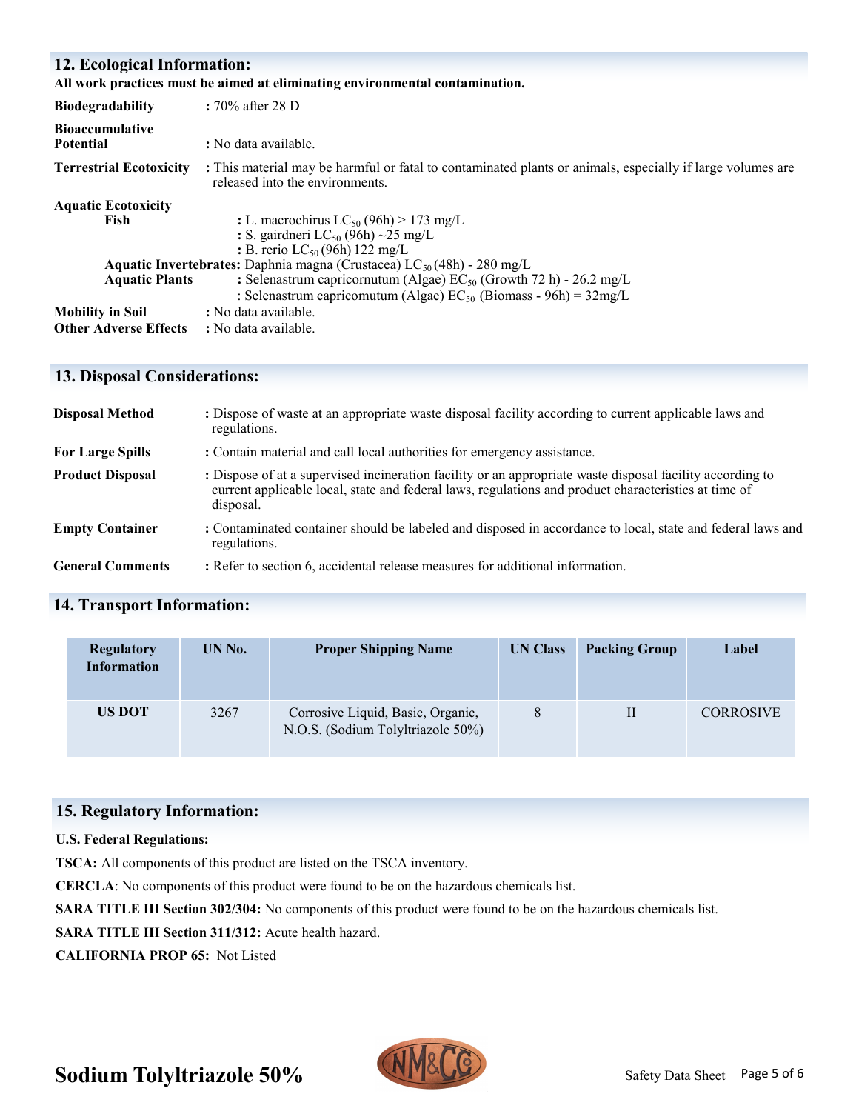# **12. Ecological Information:**

| <b>Biodegradability</b>                    | : $70\%$ after 28 D                                                                                                                           |
|--------------------------------------------|-----------------------------------------------------------------------------------------------------------------------------------------------|
| <b>Bioaccumulative</b><br><b>Potential</b> | : No data available.                                                                                                                          |
| <b>Terrestrial Ecotoxicity</b>             | : This material may be harmful or fatal to contaminated plants or animals, especially if large volumes are<br>released into the environments. |
| <b>Aquatic Ecotoxicity</b>                 |                                                                                                                                               |
| Fish                                       | : L. macrochirus $LC_{50}$ (96h) > 173 mg/L                                                                                                   |
|                                            | : S. gairdneri LC <sub>50</sub> (96h) ~25 mg/L                                                                                                |
|                                            | : B. rerio $LC_{50}$ (96h) 122 mg/L                                                                                                           |
|                                            | <b>Aquatic Invertebrates:</b> Daphnia magna (Crustacea) $LC_{50}(48h)$ - 280 mg/L                                                             |
| <b>Aquatic Plants</b>                      | : Selenastrum capricornutum (Algae) EC <sub>50</sub> (Growth 72 h) - 26.2 mg/L                                                                |
|                                            | : Selenastrum capricomutum (Algae) $EC_{50}$ (Biomass - 96h) = $32mg/L$                                                                       |
| <b>Mobility in Soil</b>                    | : No data available.                                                                                                                          |
| <b>Other Adverse Effects</b>               | : No data available.                                                                                                                          |

## **13. Disposal Considerations:**

| <b>Disposal Method</b>  | : Dispose of waste at an appropriate waste disposal facility according to current applicable laws and<br>regulations.                                                                                                          |
|-------------------------|--------------------------------------------------------------------------------------------------------------------------------------------------------------------------------------------------------------------------------|
| <b>For Large Spills</b> | : Contain material and call local authorities for emergency assistance.                                                                                                                                                        |
| <b>Product Disposal</b> | : Dispose of at a supervised incineration facility or an appropriate waste disposal facility according to<br>current applicable local, state and federal laws, regulations and product characteristics at time of<br>disposal. |
| <b>Empty Container</b>  | : Contaminated container should be labeled and disposed in accordance to local, state and federal laws and<br>regulations.                                                                                                     |
| <b>General Comments</b> | : Refer to section 6, accidental release measures for additional information.                                                                                                                                                  |

# **14. Transport Information:**

| Regulatory<br><b>Information</b> | UN No. | <b>Proper Shipping Name</b>                                            | UN Class | <b>Packing Group</b> | Label            |
|----------------------------------|--------|------------------------------------------------------------------------|----------|----------------------|------------------|
| <b>US DOT</b>                    | 3267   | Corrosive Liquid, Basic, Organic,<br>N.O.S. (Sodium Tolyltriazole 50%) |          | П                    | <b>CORROSIVE</b> |

## **15. Regulatory Information:**

### **U.S. Federal Regulations:**

**TSCA:** All components of this product are listed on the TSCA inventory.

**CERCLA**: No components of this product were found to be on the hazardous chemicals list.

**SARA TITLE III Section 302/304:** No components of this product were found to be on the hazardous chemicals list.

**SARA TITLE III Section 311/312:** Acute health hazard.

**CALIFORNIA PROP 65:** Not Listed